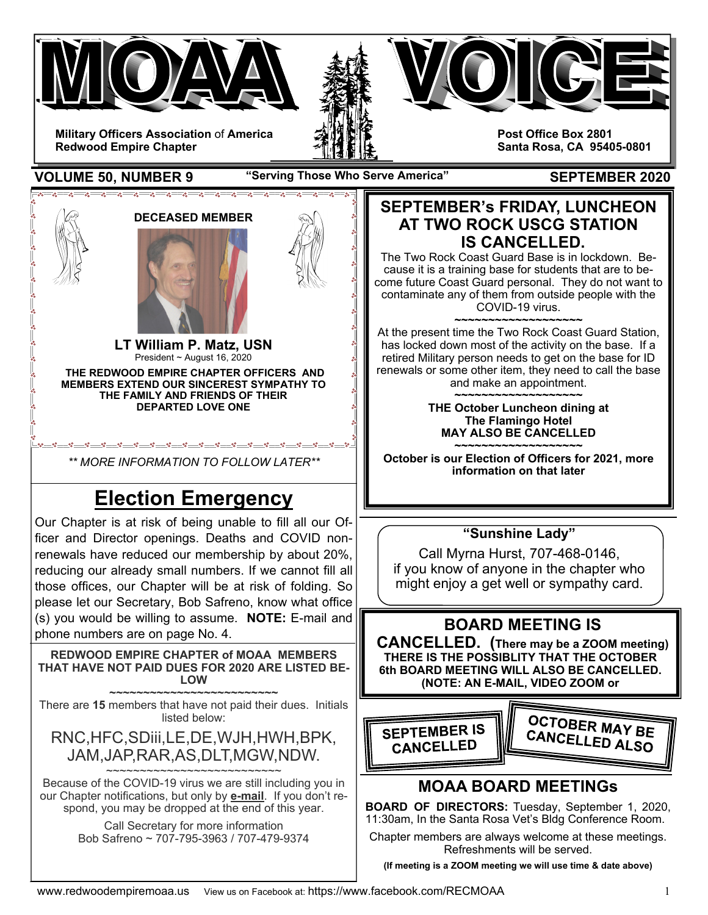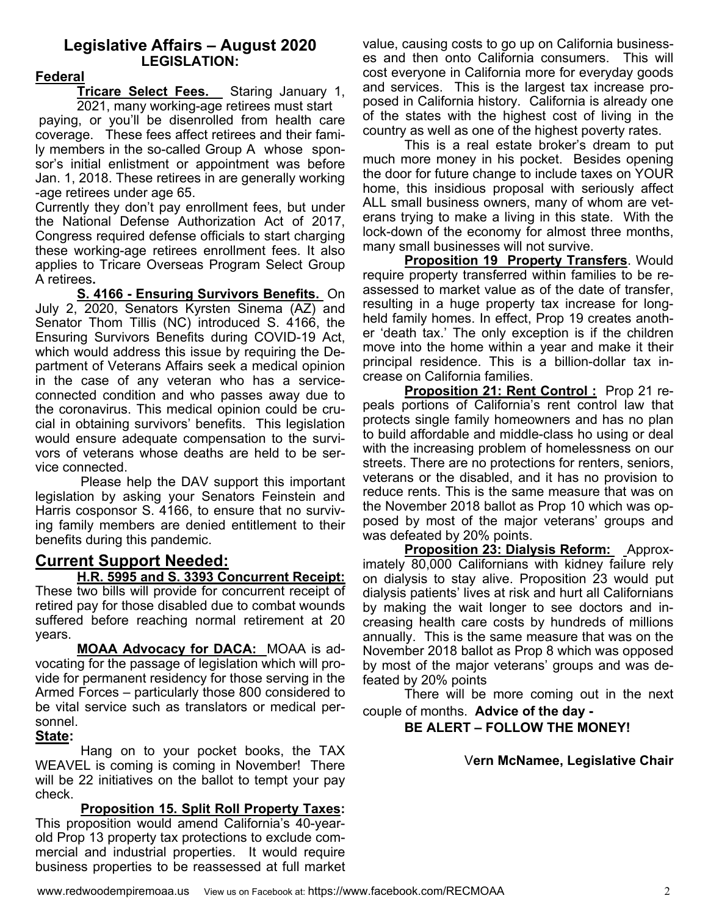### **Legislative Affairs – August 2020 LEGISLATION:**

### **Federal**

**Tricare Select Fees.** Staring January 1, 2021, many working-age retirees must start

 paying, or you'll be disenrolled from health care coverage. These fees affect retirees and their family members in the so-called Group A whose sponsor's initial enlistment or appointment was before Jan. 1, 2018. These retirees in are generally working -age retirees under age 65.

Currently they don't pay enrollment fees, but under the National Defense Authorization Act of 2017, Congress required defense officials to start charging these working-age retirees enrollment fees. It also applies to Tricare Overseas Program Select Group A retirees**.** 

 **S. 4166 - Ensuring Survivors Benefits.** On July 2, 2020, Senators Kyrsten Sinema (AZ) and Senator Thom Tillis (NC) introduced S. 4166, the Ensuring Survivors Benefits during COVID-19 Act, which would address this issue by requiring the Department of Veterans Affairs seek a medical opinion in the case of any veteran who has a serviceconnected condition and who passes away due to the coronavirus. This medical opinion could be crucial in obtaining survivors' benefits. This legislation would ensure adequate compensation to the survivors of veterans whose deaths are held to be service connected.

 Please help the DAV support this important legislation by asking your Senators Feinstein and Harris cosponsor S. 4166, to ensure that no surviving family members are denied entitlement to their benefits during this pandemic.

## **Current Support Needed:**

**H.R. 5995 and S. 3393 Concurrent Receipt:**  These two bills will provide for concurrent receipt of retired pay for those disabled due to combat wounds suffered before reaching normal retirement at 20 years.

**MOAA Advocacy for DACA:** MOAA is advocating for the passage of legislation which will provide for permanent residency for those serving in the Armed Forces – particularly those 800 considered to be vital service such as translators or medical personnel.

### **State:**

 Hang on to your pocket books, the TAX WEAVEL is coming is coming in November! There will be 22 initiatives on the ballot to tempt your pay check.

 **Proposition 15. Split Roll Property Taxes:**  This proposition would amend California's 40-yearold Prop 13 property tax protections to exclude commercial and industrial properties. It would require business properties to be reassessed at full market

value, causing costs to go up on California businesses and then onto California consumers. This will cost everyone in California more for everyday goods and services. This is the largest tax increase proposed in California history. California is already one of the states with the highest cost of living in the country as well as one of the highest poverty rates.

This is a real estate broker's dream to put much more money in his pocket. Besides opening the door for future change to include taxes on YOUR home, this insidious proposal with seriously affect ALL small business owners, many of whom are veterans trying to make a living in this state. With the lock-down of the economy for almost three months, many small businesses will not survive.

**Proposition 19 Property Transfers**. Would require property transferred within families to be reassessed to market value as of the date of transfer, resulting in a huge property tax increase for longheld family homes. In effect, Prop 19 creates another 'death tax.' The only exception is if the children move into the home within a year and make it their principal residence. This is a billion-dollar tax increase on California families.

**Proposition 21: Rent Control :** Prop 21 repeals portions of California's rent control law that protects single family homeowners and has no plan to build affordable and middle-class ho using or deal with the increasing problem of homelessness on our streets. There are no protections for renters, seniors, veterans or the disabled, and it has no provision to reduce rents. This is the same measure that was on the November 2018 ballot as Prop 10 which was opposed by most of the major veterans' groups and was defeated by 20% points.

**Proposition 23: Dialysis Reform:** Approximately 80,000 Californians with kidney failure rely on dialysis to stay alive. Proposition 23 would put dialysis patients' lives at risk and hurt all Californians by making the wait longer to see doctors and increasing health care costs by hundreds of millions annually. This is the same measure that was on the November 2018 ballot as Prop 8 which was opposed by most of the major veterans' groups and was defeated by 20% points

There will be more coming out in the next couple of months. **Advice of the day -** 

### **BE ALERT – FOLLOW THE MONEY!**

### V**ern McNamee, Legislative Chair**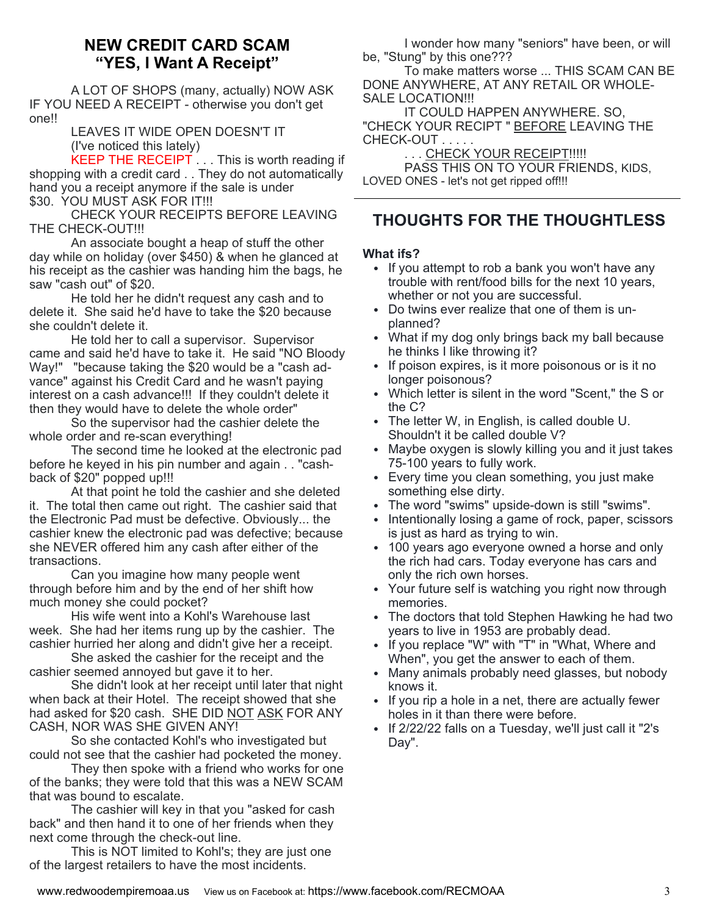### **NEW CREDIT CARD SCAM "YES, I Want A Receipt"**

A LOT OF SHOPS (many, actually) NOW ASK IF YOU NEED A RECEIPT - otherwise you don't get one!!

 LEAVES IT WIDE OPEN DOESN'T IT (I've noticed this lately)

KEEP THE RECEIPT  $\ldots$  This is worth reading if shopping with a credit card . . They do not automatically hand you a receipt anymore if the sale is under \$30. YOU MUST ASK FOR IT!!!

 CHECK YOUR RECEIPTS BEFORE LEAVING THE CHECK-OUT!!!

 An associate bought a heap of stuff the other day while on holiday (over \$450) & when he glanced at his receipt as the cashier was handing him the bags, he saw "cash out" of \$20.

 He told her he didn't request any cash and to delete it. She said he'd have to take the \$20 because she couldn't delete it.

 He told her to call a supervisor. Supervisor came and said he'd have to take it. He said "NO Bloody Way!" "because taking the \$20 would be a "cash advance" against his Credit Card and he wasn't paying interest on a cash advance!!! If they couldn't delete it then they would have to delete the whole order"

 So the supervisor had the cashier delete the whole order and re-scan everything!

 The second time he looked at the electronic pad before he keyed in his pin number and again . . "cashback of \$20" popped up!!!

 At that point he told the cashier and she deleted it. The total then came out right. The cashier said that the Electronic Pad must be defective. Obviously... the cashier knew the electronic pad was defective; because she NEVER offered him any cash after either of the transactions.

 Can you imagine how many people went through before him and by the end of her shift how much money she could pocket?

 His wife went into a Kohl's Warehouse last week. She had her items rung up by the cashier. The cashier hurried her along and didn't give her a receipt.

 She asked the cashier for the receipt and the cashier seemed annoyed but gave it to her.

 She didn't look at her receipt until later that night when back at their Hotel. The receipt showed that she had asked for \$20 cash. SHE DID NOT ASK FOR ANY CASH, NOR WAS SHE GIVEN ANY!

 So she contacted Kohl's who investigated but could not see that the cashier had pocketed the money.

 They then spoke with a friend who works for one of the banks; they were told that this was a NEW SCAM that was bound to escalate.

 The cashier will key in that you "asked for cash back" and then hand it to one of her friends when they next come through the check-out line.

 This is NOT limited to Kohl's; they are just one of the largest retailers to have the most incidents.

 I wonder how many "seniors" have been, or will be, "Stung" by this one???

 To make matters worse ... THIS SCAM CAN BE DONE ANYWHERE, AT ANY RETAIL OR WHOLE-SALE LOCATION!!!

 IT COULD HAPPEN ANYWHERE. SO, "CHECK YOUR RECIPT " BEFORE LEAVING THE CHECK-OUT . . . . .

... CHECK YOUR RECEIPT!!!!!

 PASS THIS ON TO YOUR FRIENDS, KIDS, LOVED ONES - let's not get ripped off!!!

# **THOUGHTS FOR THE THOUGHTLESS**

### **What ifs?**

- If you attempt to rob a bank you won't have any trouble with rent/food bills for the next 10 years, whether or not you are successful.
- Do twins ever realize that one of them is unplanned?
- What if my dog only brings back my ball because he thinks I like throwing it?
- If poison expires, is it more poisonous or is it no longer poisonous?
- Which letter is silent in the word "Scent," the S or the C?
- The letter W, in English, is called double U. Shouldn't it be called double V?
- Maybe oxygen is slowly killing you and it just takes 75-100 years to fully work.
- Every time you clean something, you just make something else dirty.
- The word "swims" upside-down is still "swims".
- Intentionally losing a game of rock, paper, scissors is just as hard as trying to win.
- 100 years ago everyone owned a horse and only the rich had cars. Today everyone has cars and only the rich own horses.
- Your future self is watching you right now through memories.
- The doctors that told Stephen Hawking he had two years to live in 1953 are probably dead.
- If you replace "W" with "T" in "What, Where and When", you get the answer to each of them.
- Many animals probably need glasses, but nobody knows it.
- If you rip a hole in a net, there are actually fewer holes in it than there were before.
- If 2/22/22 falls on a Tuesday, we'll just call it "2's Day".